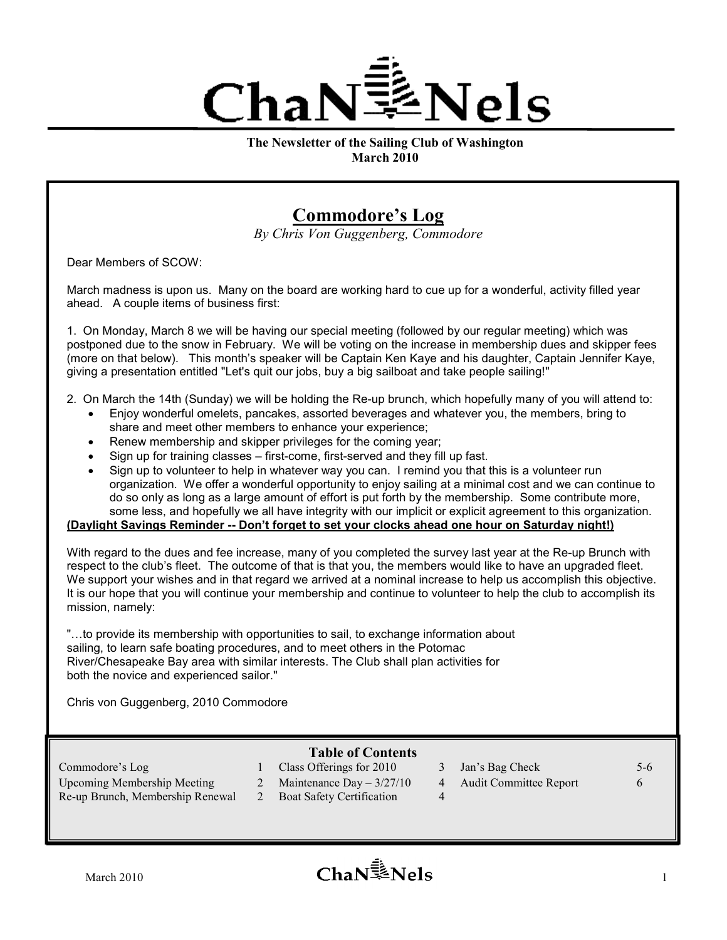

The Newsletter of the Sailing Club of Washington March 2010

# Commodore's Log

By Chris Von Guggenberg, Commodore

Dear Members of SCOW:

March madness is upon us. Many on the board are working hard to cue up for a wonderful, activity filled year ahead. A couple items of business first:

1. On Monday, March 8 we will be having our special meeting (followed by our regular meeting) which was postponed due to the snow in February. We will be voting on the increase in membership dues and skipper fees (more on that below). This month's speaker will be Captain Ken Kaye and his daughter, Captain Jennifer Kaye, giving a presentation entitled "Let's quit our jobs, buy a big sailboat and take people sailing!"

- 2. On March the 14th (Sunday) we will be holding the Re-up brunch, which hopefully many of you will attend to:
	- Enjoy wonderful omelets, pancakes, assorted beverages and whatever you, the members, bring to share and meet other members to enhance your experience;
	- Renew membership and skipper privileges for the coming year;
	- Sign up for training classes first-come, first-served and they fill up fast.
	- Sign up to volunteer to help in whatever way you can. I remind you that this is a volunteer run organization. We offer a wonderful opportunity to enjoy sailing at a minimal cost and we can continue to do so only as long as a large amount of effort is put forth by the membership. Some contribute more, some less, and hopefully we all have integrity with our implicit or explicit agreement to this organization.

### (Daylight Savings Reminder -- Don't forget to set your clocks ahead one hour on Saturday night!)

With regard to the dues and fee increase, many of you completed the survey last year at the Re-up Brunch with respect to the club's fleet. The outcome of that is that you, the members would like to have an upgraded fleet. We support your wishes and in that regard we arrived at a nominal increase to help us accomplish this objective. It is our hope that you will continue your membership and continue to volunteer to help the club to accomplish its mission, namely:

"…to provide its membership with opportunities to sail, to exchange information about sailing, to learn safe boating procedures, and to meet others in the Potomac River/Chesapeake Bay area with similar interests. The Club shall plan activities for both the novice and experienced sailor."

Chris von Guggenberg, 2010 Commodore

### Table of Contents

Upcoming Membership Meeting 2 Maintenance Day – 3/27/10 4 Audit Committee Report 6

- 
- Re-up Brunch, Membership Renewal 2 Boat Safety Certification 4
- Commodore's Log 1 Class Offerings for 2010 3 Jan's Bag Check 5-6
	-
- 
- March 2010  $\blacksquare$  1  $\blacksquare$  1  $\blacksquare$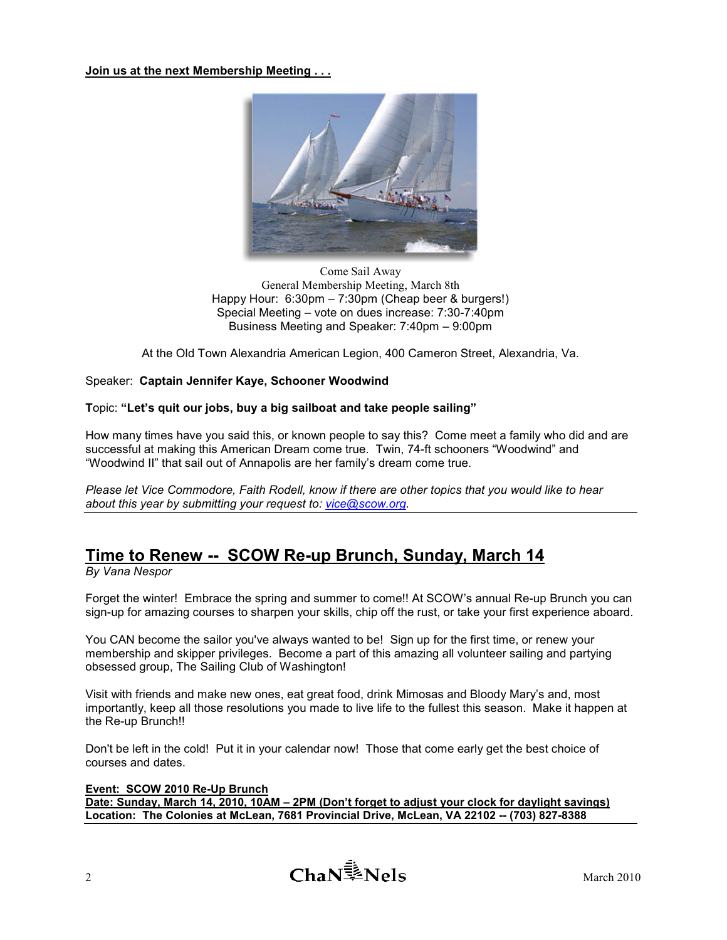Join us at the next Membership Meeting . . .



Come Sail Away General Membership Meeting, March 8th Happy Hour: 6:30pm – 7:30pm (Cheap beer & burgers!) Special Meeting – vote on dues increase: 7:30-7:40pm Business Meeting and Speaker: 7:40pm – 9:00pm

At the Old Town Alexandria American Legion, 400 Cameron Street, Alexandria, Va.

### Speaker: Captain Jennifer Kaye, Schooner Woodwind

#### Topic: "Let's quit our jobs, buy a big sailboat and take people sailing"

How many times have you said this, or known people to say this? Come meet a family who did and are successful at making this American Dream come true. Twin, 74-ft schooners "Woodwind" and "Woodwind II" that sail out of Annapolis are her family's dream come true.

Please let Vice Commodore, Faith Rodell, know if there are other topics that you would like to hear about this year by submitting your request to: vice@scow.org.

# Time to Renew -- SCOW Re-up Brunch, Sunday, March 14

By Vana Nespor

Forget the winter! Embrace the spring and summer to come!! At SCOW's annual Re-up Brunch you can sign-up for amazing courses to sharpen your skills, chip off the rust, or take your first experience aboard.

You CAN become the sailor you've always wanted to be! Sign up for the first time, or renew your membership and skipper privileges. Become a part of this amazing all volunteer sailing and partying obsessed group, The Sailing Club of Washington!

Visit with friends and make new ones, eat great food, drink Mimosas and Bloody Mary's and, most importantly, keep all those resolutions you made to live life to the fullest this season. Make it happen at the Re-up Brunch!!

Don't be left in the cold! Put it in your calendar now! Those that come early get the best choice of courses and dates.

#### Event: SCOW 2010 Re-Up Brunch

Date: Sunday, March 14, 2010, 10AM – 2PM (Don't forget to adjust your clock for daylight savings) Location: The Colonies at McLean, 7681 Provincial Drive, McLean, VA 22102 -- (703) 827-8388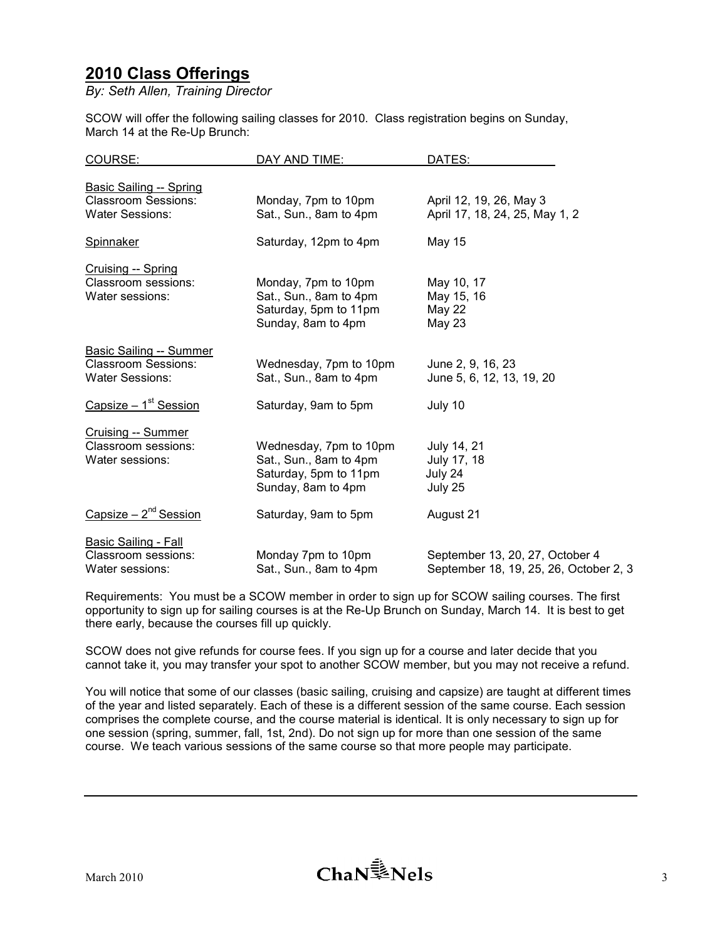# 2010 Class Offerings

By: Seth Allen, Training Director

SCOW will offer the following sailing classes for 2010. Class registration begins on Sunday, March 14 at the Re-Up Brunch:

| COURSE:                                                      | DAY AND TIME:          | DATES:                                 |
|--------------------------------------------------------------|------------------------|----------------------------------------|
|                                                              |                        |                                        |
| <b>Basic Sailing -- Spring</b><br><b>Classroom Sessions:</b> |                        |                                        |
|                                                              | Monday, 7pm to 10pm    | April 12, 19, 26, May 3                |
| <b>Water Sessions:</b>                                       | Sat., Sun., 8am to 4pm | April 17, 18, 24, 25, May 1, 2         |
| Spinnaker                                                    | Saturday, 12pm to 4pm  | <b>May 15</b>                          |
| Cruising -- Spring                                           |                        |                                        |
| Classroom sessions:                                          | Monday, 7pm to 10pm    | May 10, 17                             |
| Water sessions:                                              | Sat., Sun., 8am to 4pm | May 15, 16                             |
|                                                              | Saturday, 5pm to 11pm  | May 22                                 |
|                                                              | Sunday, 8am to 4pm     | May 23                                 |
| <b>Basic Sailing -- Summer</b>                               |                        |                                        |
| <b>Classroom Sessions:</b>                                   | Wednesday, 7pm to 10pm | June 2, 9, 16, 23                      |
| <b>Water Sessions:</b>                                       | Sat., Sun., 8am to 4pm | June 5, 6, 12, 13, 19, 20              |
|                                                              |                        |                                        |
| Capsize $-1st$ Session                                       | Saturday, 9am to 5pm   | July 10                                |
| <b>Cruising -- Summer</b>                                    |                        |                                        |
| Classroom sessions:                                          | Wednesday, 7pm to 10pm | July 14, 21                            |
| Water sessions:                                              | Sat., Sun., 8am to 4pm | July 17, 18                            |
|                                                              | Saturday, 5pm to 11pm  | July 24                                |
|                                                              | Sunday, 8am to 4pm     | July 25                                |
| Capsize $-2^{nd}$ Session                                    | Saturday, 9am to 5pm   | August 21                              |
| <b>Basic Sailing - Fall</b>                                  |                        |                                        |
| Classroom sessions:                                          | Monday 7pm to 10pm     | September 13, 20, 27, October 4        |
| Water sessions:                                              | Sat., Sun., 8am to 4pm | September 18, 19, 25, 26, October 2, 3 |

Requirements: You must be a SCOW member in order to sign up for SCOW sailing courses. The first opportunity to sign up for sailing courses is at the Re-Up Brunch on Sunday, March 14. It is best to get there early, because the courses fill up quickly.

SCOW does not give refunds for course fees. If you sign up for a course and later decide that you cannot take it, you may transfer your spot to another SCOW member, but you may not receive a refund.

You will notice that some of our classes (basic sailing, cruising and capsize) are taught at different times of the year and listed separately. Each of these is a different session of the same course. Each session comprises the complete course, and the course material is identical. It is only necessary to sign up for one session (spring, summer, fall, 1st, 2nd). Do not sign up for more than one session of the same course. We teach various sessions of the same course so that more people may participate.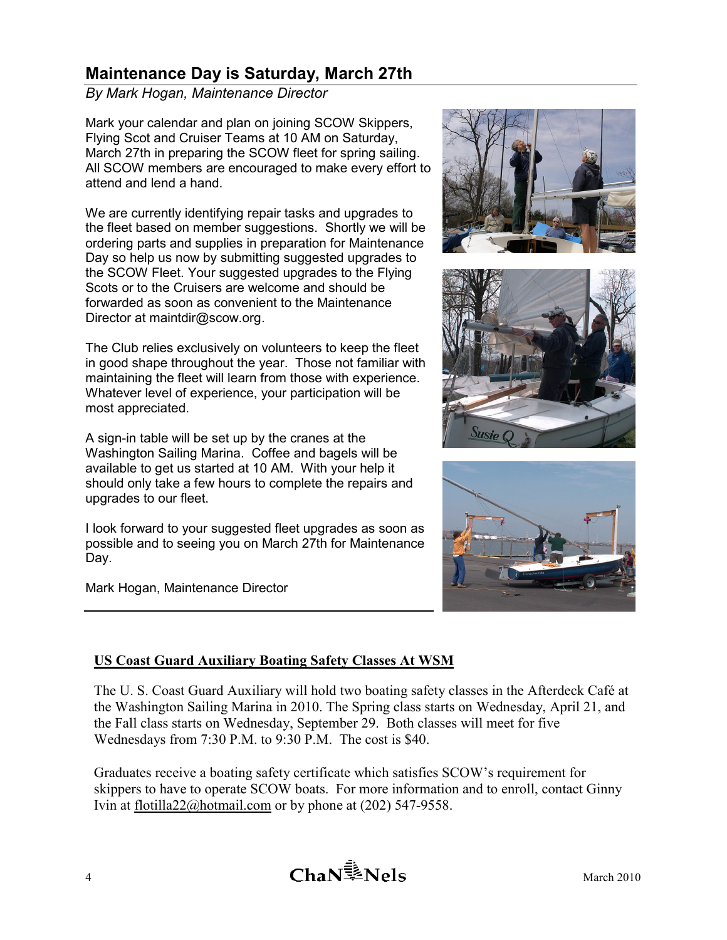# Maintenance Day is Saturday, March 27th

By Mark Hogan, Maintenance Director

Mark your calendar and plan on joining SCOW Skippers, Flying Scot and Cruiser Teams at 10 AM on Saturday, March 27th in preparing the SCOW fleet for spring sailing. All SCOW members are encouraged to make every effort to attend and lend a hand.

We are currently identifying repair tasks and upgrades to the fleet based on member suggestions. Shortly we will be ordering parts and supplies in preparation for Maintenance Day so help us now by submitting suggested upgrades to the SCOW Fleet. Your suggested upgrades to the Flying Scots or to the Cruisers are welcome and should be forwarded as soon as convenient to the Maintenance Director at maintdir@scow.org.

The Club relies exclusively on volunteers to keep the fleet in good shape throughout the year. Those not familiar with maintaining the fleet will learn from those with experience. Whatever level of experience, your participation will be most appreciated.

A sign-in table will be set up by the cranes at the Washington Sailing Marina. Coffee and bagels will be available to get us started at 10 AM. With your help it should only take a few hours to complete the repairs and upgrades to our fleet.

I look forward to your suggested fleet upgrades as soon as possible and to seeing you on March 27th for Maintenance Day.

Mark Hogan, Maintenance Director







### US Coast Guard Auxiliary Boating Safety Classes At WSM

The U. S. Coast Guard Auxiliary will hold two boating safety classes in the Afterdeck Café at the Washington Sailing Marina in 2010. The Spring class starts on Wednesday, April 21, and the Fall class starts on Wednesday, September 29. Both classes will meet for five Wednesdays from 7:30 P.M. to 9:30 P.M. The cost is \$40.

Graduates receive a boating safety certificate which satisfies SCOW's requirement for skippers to have to operate SCOW boats. For more information and to enroll, contact Ginny Ivin at flotilla22@hotmail.com or by phone at (202) 547-9558.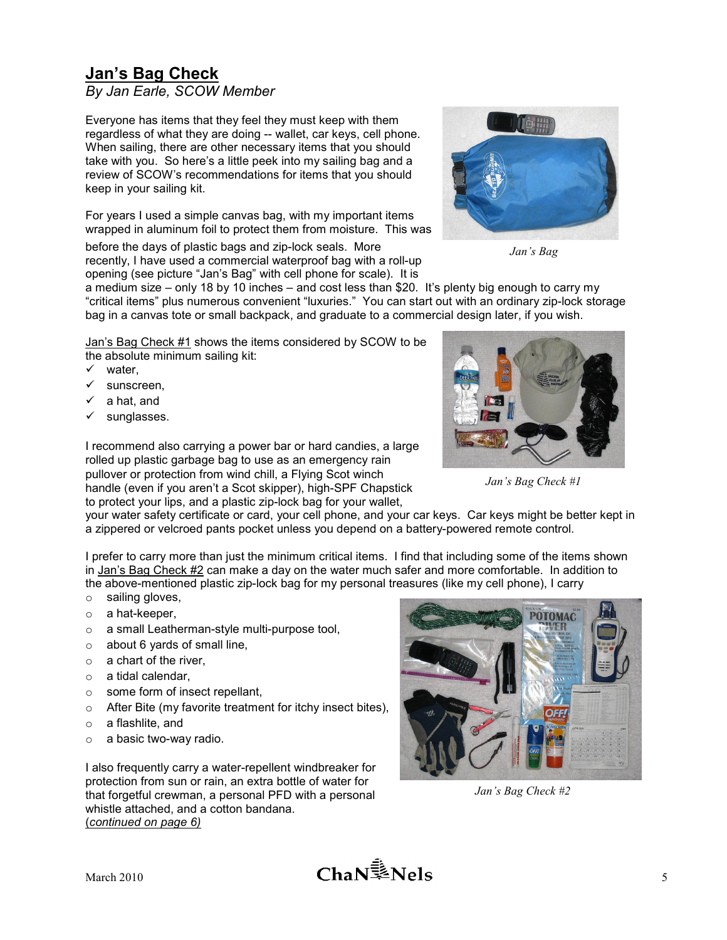# **Jan's Bag Check**

By Jan Earle, SCOW Member

Everyone has items that they feel they must keep with them regardless of what they are doing -- wallet, car keys, cell phone. When sailing, there are other necessary items that you should take with you. So here's a little peek into my sailing bag and a review of SCOW's recommendations for items that you should keep in your sailing kit.

For years I used a simple canvas bag, with my important items wrapped in aluminum foil to protect them from moisture. This was

before the days of plastic bags and zip-lock seals. More recently, I have used a commercial waterproof bag with a roll-up opening (see picture "Jan's Bag" with cell phone for scale). It is



Jan's Bag

a medium size – only 18 by 10 inches – and cost less than \$20. It's plenty big enough to carry my "critical items" plus numerous convenient "luxuries." You can start out with an ordinary zip-lock storage bag in a canvas tote or small backpack, and graduate to a commercial design later, if you wish.

Jan's Bag Check #1 shows the items considered by SCOW to be the absolute minimum sailing kit:

- $\checkmark$  water.
- $\checkmark$  sunscreen,
- a hat, and
- sunglasses.

I recommend also carrying a power bar or hard candies, a large rolled up plastic garbage bag to use as an emergency rain pullover or protection from wind chill, a Flying Scot winch handle (even if you aren't a Scot skipper), high-SPF Chapstick to protect your lips, and a plastic zip-lock bag for your wallet,



Jan's Bag Check #1

your water safety certificate or card, your cell phone, and your car keys. Car keys might be better kept in a zippered or velcroed pants pocket unless you depend on a battery-powered remote control.

I prefer to carry more than just the minimum critical items. I find that including some of the items shown in Jan's Bag Check #2 can make a day on the water much safer and more comfortable. In addition to the above-mentioned plastic zip-lock bag for my personal treasures (like my cell phone), I carry

- o sailing gloves,
- o a hat-keeper,
- o a small Leatherman-style multi-purpose tool,
- $\circ$  about 6 yards of small line,
- $\circ$  a chart of the river,
- o a tidal calendar,
- o some form of insect repellant,
- o After Bite (my favorite treatment for itchy insect bites),
- o a flashlite, and
- o a basic two-way radio.

I also frequently carry a water-repellent windbreaker for protection from sun or rain, an extra bottle of water for that forgetful crewman, a personal PFD with a personal whistle attached, and a cotton bandana. (continued on page 6)



Jan's Bag Check #2

March 2010 **5**  $\mathbf{K}$  **S**  $\mathbf{S}$  **S**  $\mathbf{S}$  **S**  $\mathbf{S}$  **S**  $\mathbf{S}$  **S**  $\mathbf{S}$  **S**  $\mathbf{S}$  **S**  $\mathbf{S}$  **S**  $\mathbf{S}$  **S**  $\mathbf{S}$  **S**  $\mathbf{S}$  **S**  $\mathbf{S}$  **S**  $\mathbf{S}$  **S**  $\mathbf{S}$  **S**  $\mathbf{S}$  **S**  $\mathbf{S}$  **S**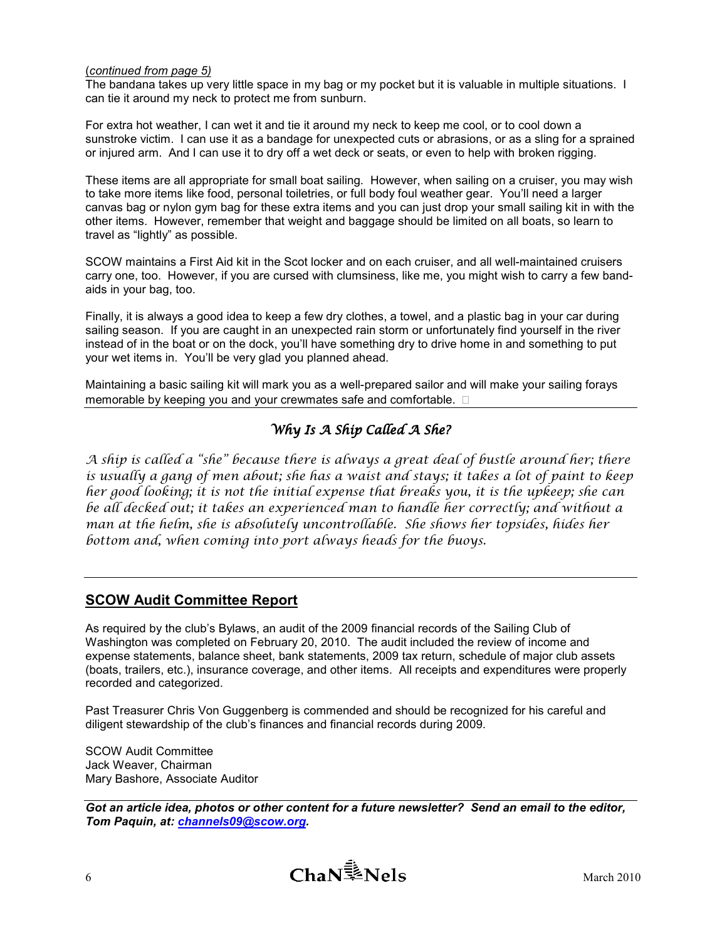### (continued from page 5)

The bandana takes up very little space in my bag or my pocket but it is valuable in multiple situations. I can tie it around my neck to protect me from sunburn.

For extra hot weather, I can wet it and tie it around my neck to keep me cool, or to cool down a sunstroke victim. I can use it as a bandage for unexpected cuts or abrasions, or as a sling for a sprained or injured arm. And I can use it to dry off a wet deck or seats, or even to help with broken rigging.

These items are all appropriate for small boat sailing. However, when sailing on a cruiser, you may wish to take more items like food, personal toiletries, or full body foul weather gear. You'll need a larger canvas bag or nylon gym bag for these extra items and you can just drop your small sailing kit in with the other items. However, remember that weight and baggage should be limited on all boats, so learn to travel as "lightly" as possible.

SCOW maintains a First Aid kit in the Scot locker and on each cruiser, and all well-maintained cruisers carry one, too. However, if you are cursed with clumsiness, like me, you might wish to carry a few bandaids in your bag, too.

Finally, it is always a good idea to keep a few dry clothes, a towel, and a plastic bag in your car during sailing season. If you are caught in an unexpected rain storm or unfortunately find yourself in the river instead of in the boat or on the dock, you'll have something dry to drive home in and something to put your wet items in. You'll be very glad you planned ahead.

Maintaining a basic sailing kit will mark you as a well-prepared sailor and will make your sailing forays memorable by keeping you and your crewmates safe and comfortable.

### Why Is  $A$  Ship Called  $A$  She?

A ship is called a "she" because there is always a great deal of bustle around her; there is usually a gang of men about; she has a waist and stays; it takes a lot of paint to keep her good looking; it is not the initial expense that breaks you, it is the upkeep; she can be all decked out; it takes an experienced man to handle her correctly; and without a man at the helm, she is absolutely uncontrollable. She shows her topsides, hides her bottom and, when coming into port always heads for the buoys.

### SCOW Audit Committee Report

As required by the club's Bylaws, an audit of the 2009 financial records of the Sailing Club of Washington was completed on February 20, 2010. The audit included the review of income and expense statements, balance sheet, bank statements, 2009 tax return, schedule of major club assets (boats, trailers, etc.), insurance coverage, and other items. All receipts and expenditures were properly recorded and categorized.

Past Treasurer Chris Von Guggenberg is commended and should be recognized for his careful and diligent stewardship of the club's finances and financial records during 2009.

SCOW Audit Committee Jack Weaver, Chairman Mary Bashore, Associate Auditor

Got an article idea, photos or other content for a future newsletter? Send an email to the editor, Tom Paquin, at: *channels09@scow.org.*